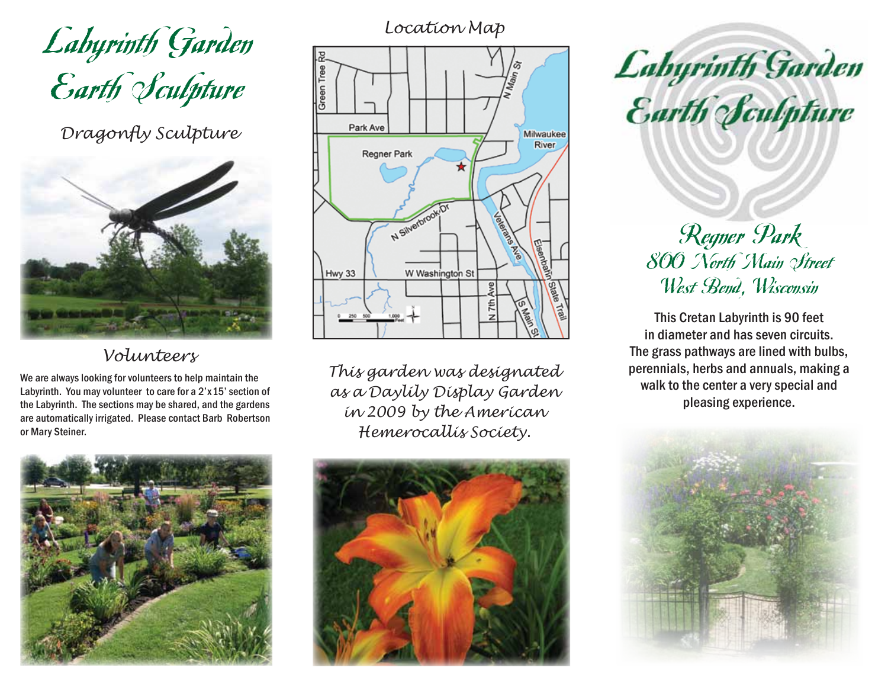# Labyrinth Garden Earth Sculpture

*Dragonfly Sculpture* 



#### *Volunteers*

We are always looking for volunteers to help maintain the Labyrinth. You may volunteer to care for a 2'x15' section of the Labyrinth. The sections may be shared, and the gardens are automatically irrigated. Please contact Barb Robertson or Mary Steiner.





*This garden was designated as a Daylily Display Garden in 2009 by the American Hemerocallis Society.*



**Labyrinth Garden** Earth Sculpture

> Regner Park 800 North Main Street West Bend, Wisconsin

This Cretan Labyrinth is 90 feet in diameter and has seven circuits. The grass pathways are lined with bulbs, perennials, herbs and annuals, making a walk to the center a very special and pleasing experience.